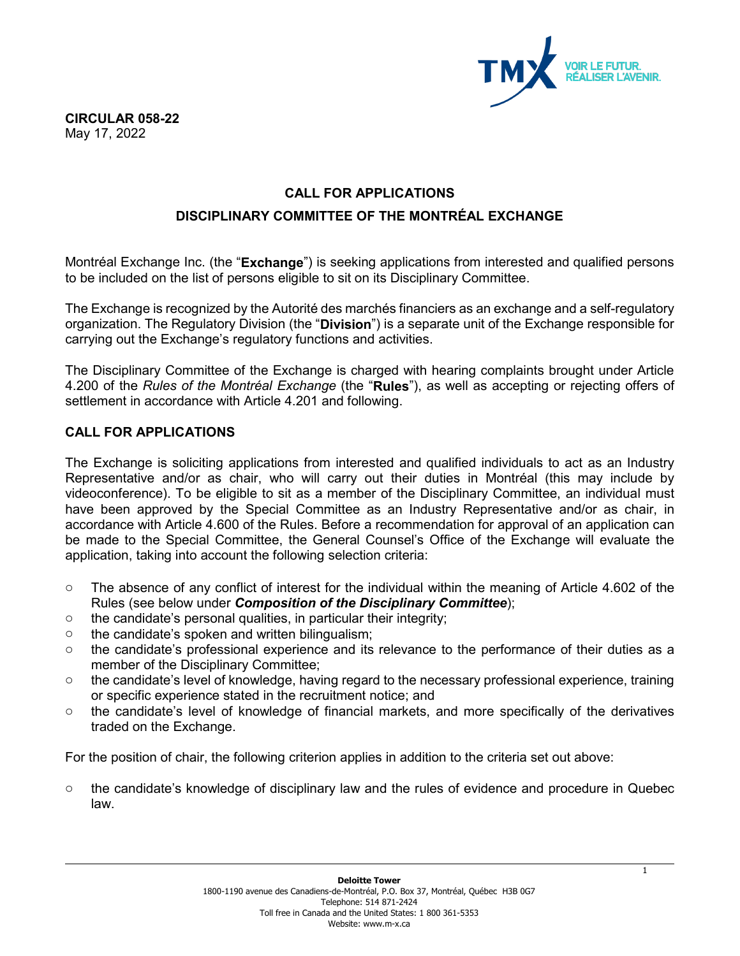

## **CALL FOR APPLICATIONS**

### **DISCIPLINARY COMMITTEE OF THE MONTRÉAL EXCHANGE**

Montréal Exchange Inc. (the "**Exchange**") is seeking applications from interested and qualified persons to be included on the list of persons eligible to sit on its Disciplinary Committee.

The Exchange is recognized by the Autorité des marchés financiers as an exchange and a self-regulatory organization. The Regulatory Division (the "**Division**") is a separate unit of the Exchange responsible for carrying out the Exchange's regulatory functions and activities.

The Disciplinary Committee of the Exchange is charged with hearing complaints brought under Article 4.200 of the *Rules of the Montréal Exchange* (the "**Rules**"), as well as accepting or rejecting offers of settlement in accordance with Article 4.201 and following.

### **CALL FOR APPLICATIONS**

The Exchange is soliciting applications from interested and qualified individuals to act as an Industry Representative and/or as chair, who will carry out their duties in Montréal (this may include by videoconference). To be eligible to sit as a member of the Disciplinary Committee, an individual must have been approved by the Special Committee as an Industry Representative and/or as chair, in accordance with Article 4.600 of the Rules. Before a recommendation for approval of an application can be made to the Special Committee, the General Counsel's Office of the Exchange will evaluate the application, taking into account the following selection criteria:

- o The absence of any conflict of interest for the individual within the meaning of Article 4.602 of the Rules (see below under *Composition of the Disciplinary Committee*);
- $\circ$  the candidate's personal qualities, in particular their integrity;
- o the candidate's spoken and written bilingualism;
- o the candidate's professional experience and its relevance to the performance of their duties as a member of the Disciplinary Committee;
- o the candidate's level of knowledge, having regard to the necessary professional experience, training or specific experience stated in the recruitment notice; and
- o the candidate's level of knowledge of financial markets, and more specifically of the derivatives traded on the Exchange.

For the position of chair, the following criterion applies in addition to the criteria set out above:

o the candidate's knowledge of disciplinary law and the rules of evidence and procedure in Quebec law.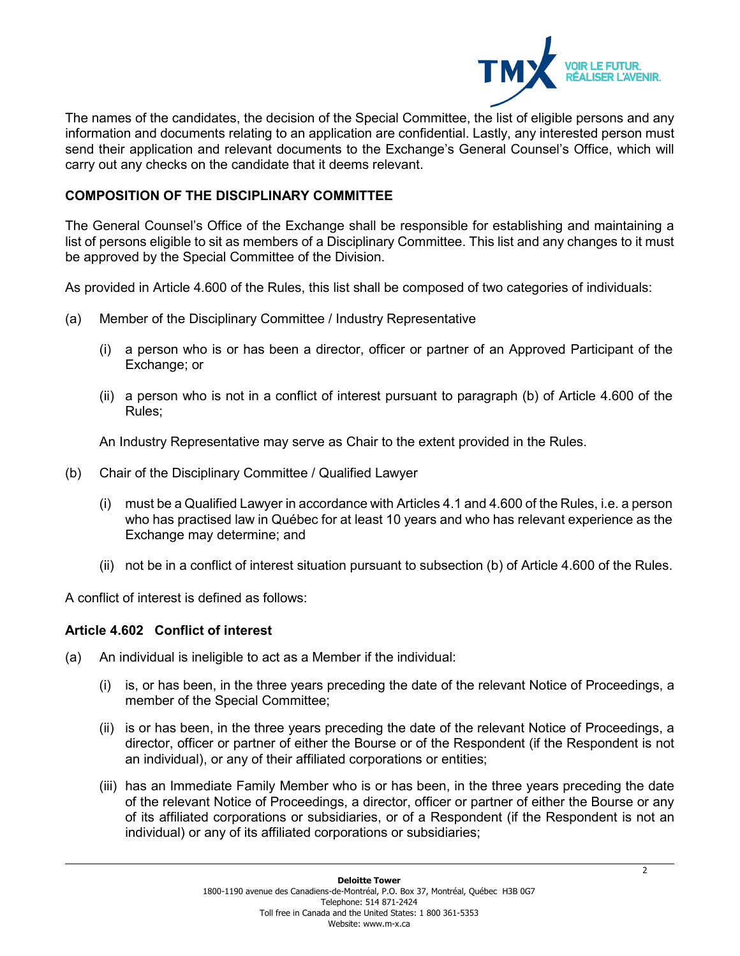

The names of the candidates, the decision of the Special Committee, the list of eligible persons and any information and documents relating to an application are confidential. Lastly, any interested person must send their application and relevant documents to the Exchange's General Counsel's Office, which will carry out any checks on the candidate that it deems relevant.

# **COMPOSITION OF THE DISCIPLINARY COMMITTEE**

The General Counsel's Office of the Exchange shall be responsible for establishing and maintaining a list of persons eligible to sit as members of a Disciplinary Committee. This list and any changes to it must be approved by the Special Committee of the Division.

As provided in Article 4.600 of the Rules, this list shall be composed of two categories of individuals:

- (a) Member of the Disciplinary Committee / Industry Representative
	- (i) a person who is or has been a director, officer or partner of an Approved Participant of the Exchange; or
	- (ii) a person who is not in a conflict of interest pursuant to paragraph (b) of Article 4.600 of the Rules;

An Industry Representative may serve as Chair to the extent provided in the Rules.

- (b) Chair of the Disciplinary Committee / Qualified Lawyer
	- (i) must be a Qualified Lawyer in accordance with Articles 4.1 and 4.600 of the Rules, i.e. a person who has practised law in Québec for at least 10 years and who has relevant experience as the Exchange may determine; and
	- (ii) not be in a conflict of interest situation pursuant to subsection (b) of Article 4.600 of the Rules.

A conflict of interest is defined as follows:

## **Article 4.602 Conflict of interest**

- (a) An individual is ineligible to act as a Member if the individual:
	- (i) is, or has been, in the three years preceding the date of the relevant Notice of Proceedings, a member of the Special Committee;
	- (ii) is or has been, in the three years preceding the date of the relevant Notice of Proceedings, a director, officer or partner of either the Bourse or of the Respondent (if the Respondent is not an individual), or any of their affiliated corporations or entities;
	- (iii) has an Immediate Family Member who is or has been, in the three years preceding the date of the relevant Notice of Proceedings, a director, officer or partner of either the Bourse or any of its affiliated corporations or subsidiaries, or of a Respondent (if the Respondent is not an individual) or any of its affiliated corporations or subsidiaries;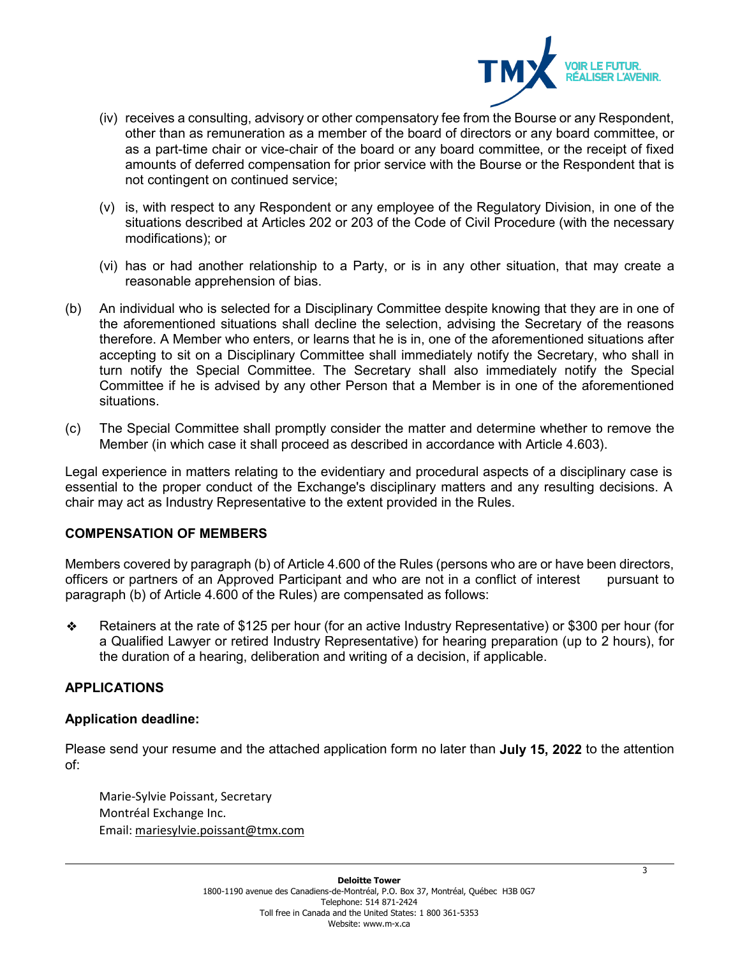

- (iv) receives a consulting, advisory or other compensatory fee from the Bourse or any Respondent, other than as remuneration as a member of the board of directors or any board committee, or as a part-time chair or vice-chair of the board or any board committee, or the receipt of fixed amounts of deferred compensation for prior service with the Bourse or the Respondent that is not contingent on continued service;
- (v) is, with respect to any Respondent or any employee of the Regulatory Division, in one of the situations described at Articles 202 or 203 of the Code of Civil Procedure (with the necessary modifications); or
- (vi) has or had another relationship to a Party, or is in any other situation, that may create a reasonable apprehension of bias.
- (b) An individual who is selected for a Disciplinary Committee despite knowing that they are in one of the aforementioned situations shall decline the selection, advising the Secretary of the reasons therefore. A Member who enters, or learns that he is in, one of the aforementioned situations after accepting to sit on a Disciplinary Committee shall immediately notify the Secretary, who shall in turn notify the Special Committee. The Secretary shall also immediately notify the Special Committee if he is advised by any other Person that a Member is in one of the aforementioned situations.
- (c) The Special Committee shall promptly consider the matter and determine whether to remove the Member (in which case it shall proceed as described in accordance with Article 4.603).

Legal experience in matters relating to the evidentiary and procedural aspects of a disciplinary case is essential to the proper conduct of the Exchange's disciplinary matters and any resulting decisions. A chair may act as Industry Representative to the extent provided in the Rules.

## **COMPENSATION OF MEMBERS**

Members covered by paragraph (b) of Article 4.600 of the Rules (persons who are or have been directors, officers or partners of an Approved Participant and who are not in a conflict of interest pursuant to paragraph (b) of Article 4.600 of the Rules) are compensated as follows:

❖ Retainers at the rate of \$125 per hour (for an active Industry Representative) or \$300 per hour (for a Qualified Lawyer or retired Industry Representative) for hearing preparation (up to 2 hours), for the duration of a hearing, deliberation and writing of a decision, if applicable.

#### **APPLICATIONS**

#### **Application deadline:**

Please send your resume and the attached application form no later than **July 15, 2022** to the attention of:

Marie-Sylvie Poissant, Secretary Montréal Exchange Inc. Email: [mariesylvie.poissant@tmx.com](mailto:mariesylvie.poissant@tmx.com)